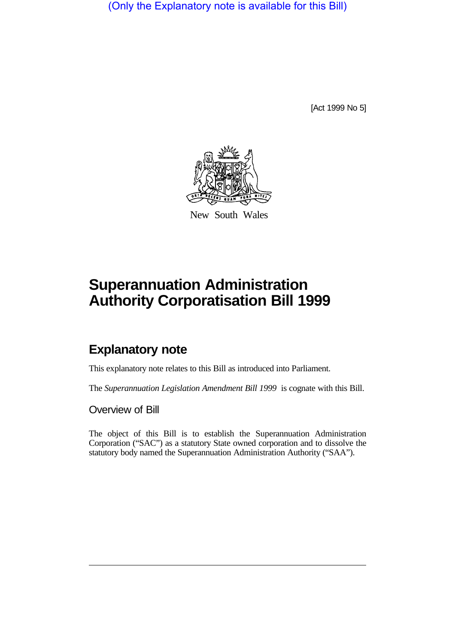(Only the Explanatory note is available for this Bill)

[Act 1999 No 5]



New South Wales

# **Superannuation Administration Authority Corporatisation Bill 1999**

## **Explanatory note**

This explanatory note relates to this Bill as introduced into Parliament.

The *Superannuation Legislation Amendment Bill 1999* is cognate with this Bill.

Overview of Bill

The object of this Bill is to establish the Superannuation Administration Corporation ("SAC") as a statutory State owned corporation and to dissolve the statutory body named the Superannuation Administration Authority ("SAA").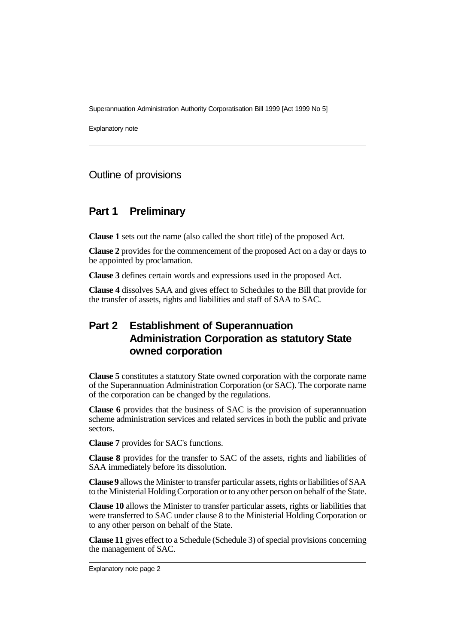Superannuation Administration Authority Corporatisation Bill 1999 [Act 1999 No 5]

Explanatory note

#### Outline of provisions

#### **Part 1 Preliminary**

**Clause 1** sets out the name (also called the short title) of the proposed Act.

**Clause 2** provides for the commencement of the proposed Act on a day or days to be appointed by proclamation.

**Clause 3** defines certain words and expressions used in the proposed Act.

**Clause 4** dissolves SAA and gives effect to Schedules to the Bill that provide for the transfer of assets, rights and liabilities and staff of SAA to SAC.

### **Part 2 Establishment of Superannuation Administration Corporation as statutory State owned corporation**

**Clause 5** constitutes a statutory State owned corporation with the corporate name of the Superannuation Administration Corporation (or SAC). The corporate name of the corporation can be changed by the regulations.

**Clause 6** provides that the business of SAC is the provision of superannuation scheme administration services and related services in both the public and private sectors.

**Clause 7** provides for SAC's functions.

**Clause 8** provides for the transfer to SAC of the assets, rights and liabilities of SAA immediately before its dissolution.

**Clause 9** allows the Minister to transfer particular assets, rights or liabilities of SAA to the Ministerial Holding Corporation or to any other person on behalf of the State.

**Clause 10** allows the Minister to transfer particular assets, rights or liabilities that were transferred to SAC under clause 8 to the Ministerial Holding Corporation or to any other person on behalf of the State.

**Clause 11** gives effect to a Schedule (Schedule 3) of special provisions concerning the management of SAC.

Explanatory note page 2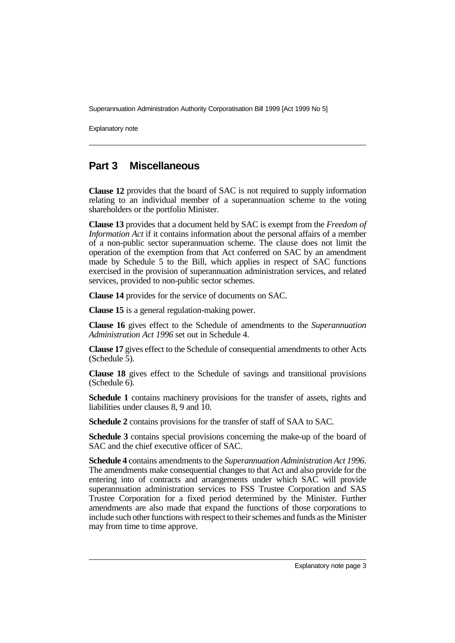Superannuation Administration Authority Corporatisation Bill 1999 [Act 1999 No 5]

Explanatory note

#### **Part 3 Miscellaneous**

**Clause 12** provides that the board of SAC is not required to supply information relating to an individual member of a superannuation scheme to the voting shareholders or the portfolio Minister.

**Clause 13** provides that a document held by SAC is exempt from the *Freedom of Information Act* if it contains information about the personal affairs of a member of a non-public sector superannuation scheme. The clause does not limit the operation of the exemption from that Act conferred on SAC by an amendment made by Schedule 5 to the Bill, which applies in respect of SAC functions exercised in the provision of superannuation administration services, and related services, provided to non-public sector schemes.

**Clause 14** provides for the service of documents on SAC.

**Clause 15** is a general regulation-making power.

**Clause 16** gives effect to the Schedule of amendments to the *Superannuation Administration Act 1996* set out in Schedule 4.

**Clause 17** gives effect to the Schedule of consequential amendments to other Acts (Schedule 5).

**Clause 18** gives effect to the Schedule of savings and transitional provisions (Schedule 6).

**Schedule 1** contains machinery provisions for the transfer of assets, rights and liabilities under clauses 8, 9 and 10.

**Schedule 2** contains provisions for the transfer of staff of SAA to SAC.

**Schedule 3** contains special provisions concerning the make-up of the board of SAC and the chief executive officer of SAC.

**Schedule 4** contains amendments to the *Superannuation Administration Act 1996*. The amendments make consequential changes to that Act and also provide for the entering into of contracts and arrangements under which SAC will provide superannuation administration services to FSS Trustee Corporation and SAS Trustee Corporation for a fixed period determined by the Minister. Further amendments are also made that expand the functions of those corporations to include such other functions with respect to their schemes and funds as the Minister may from time to time approve.